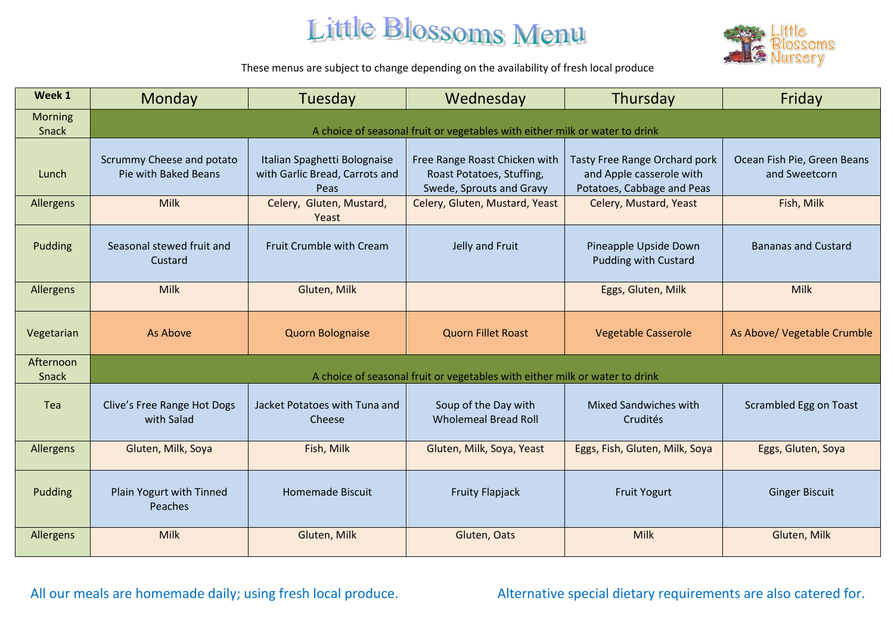

These menus are subject to change depending on the availability of fresh local produce

| Week 1                  | Monday                                                                      | Tuesday                                                                | Wednesday                                                                              | Thursday                                                                                | Friday                                       |
|-------------------------|-----------------------------------------------------------------------------|------------------------------------------------------------------------|----------------------------------------------------------------------------------------|-----------------------------------------------------------------------------------------|----------------------------------------------|
| <b>Morning</b><br>Snack | A choice of seasonal fruit or vegetables with either milk or water to drink |                                                                        |                                                                                        |                                                                                         |                                              |
| Lunch                   | Scrummy Cheese and potato<br>Pie with Baked Beans                           | Italian Spaghetti Bolognaise<br>with Garlic Bread, Carrots and<br>Peas | Free Range Roast Chicken with<br>Roast Potatoes, Stuffing,<br>Swede, Sprouts and Gravy | Tasty Free Range Orchard pork<br>and Apple casserole with<br>Potatoes, Cabbage and Peas | Ocean Fish Pie, Green Beans<br>and Sweetcorn |
| Allergens               | <b>Milk</b>                                                                 | Celery, Gluten, Mustard,<br>Yeast                                      | Celery, Gluten, Mustard, Yeast                                                         | Celery, Mustard, Yeast                                                                  | Fish, Milk                                   |
| Pudding                 | Seasonal stewed fruit and<br>Custard                                        | Fruit Crumble with Cream                                               | Jelly and Fruit                                                                        | Pineapple Upside Down<br><b>Pudding with Custard</b>                                    | <b>Bananas and Custard</b>                   |
| Allergens               | <b>Milk</b>                                                                 | Gluten, Milk                                                           |                                                                                        | Eggs, Gluten, Milk                                                                      | Milk                                         |
| Vegetarian              | As Above                                                                    | <b>Quorn Bolognaise</b>                                                | <b>Quorn Fillet Roast</b>                                                              | <b>Vegetable Casserole</b>                                                              | As Above/ Vegetable Crumble                  |
| Afternoon<br>Snack      | A choice of seasonal fruit or vegetables with either milk or water to drink |                                                                        |                                                                                        |                                                                                         |                                              |
| Tea                     | Clive's Free Range Hot Dogs<br>with Salad                                   | Jacket Potatoes with Tuna and<br>Cheese                                | Soup of the Day with<br><b>Wholemeal Bread Roll</b>                                    | <b>Mixed Sandwiches with</b><br>Crudités                                                | Scrambled Egg on Toast                       |
| Allergens               | Gluten, Milk, Soya                                                          | Fish, Milk                                                             | Gluten, Milk, Soya, Yeast                                                              | Eggs, Fish, Gluten, Milk, Soya                                                          | Eggs, Gluten, Soya                           |
| Pudding                 | Plain Yogurt with Tinned<br>Peaches                                         | <b>Homemade Biscuit</b>                                                | <b>Fruity Flapjack</b>                                                                 | <b>Fruit Yogurt</b>                                                                     | <b>Ginger Biscuit</b>                        |
| Allergens               | <b>Milk</b>                                                                 | Gluten, Milk                                                           | Gluten, Oats                                                                           | Milk                                                                                    | Gluten, Milk                                 |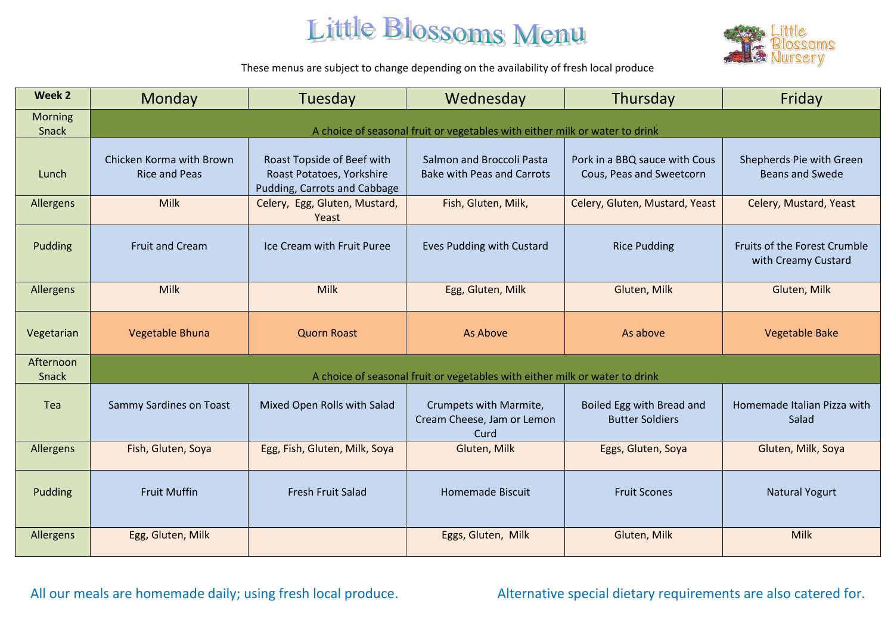

These menus are subject to change depending on the availability of fresh local produce

| Week 2                    | Monday                                                                      | Tuesday                                                                                 | Wednesday                                                      | Thursday                                                  | Friday                                              |
|---------------------------|-----------------------------------------------------------------------------|-----------------------------------------------------------------------------------------|----------------------------------------------------------------|-----------------------------------------------------------|-----------------------------------------------------|
| <b>Morning</b><br>Snack   | A choice of seasonal fruit or vegetables with either milk or water to drink |                                                                                         |                                                                |                                                           |                                                     |
| Lunch                     | Chicken Korma with Brown<br><b>Rice and Peas</b>                            | Roast Topside of Beef with<br>Roast Potatoes, Yorkshire<br>Pudding, Carrots and Cabbage | Salmon and Broccoli Pasta<br><b>Bake with Peas and Carrots</b> | Pork in a BBQ sauce with Cous<br>Cous, Peas and Sweetcorn | Shepherds Pie with Green<br><b>Beans and Swede</b>  |
| Allergens                 | <b>Milk</b>                                                                 | Celery, Egg, Gluten, Mustard,<br>Yeast                                                  | Fish, Gluten, Milk,                                            | Celery, Gluten, Mustard, Yeast                            | Celery, Mustard, Yeast                              |
| Pudding                   | <b>Fruit and Cream</b>                                                      | Ice Cream with Fruit Puree                                                              | Eves Pudding with Custard                                      | <b>Rice Pudding</b>                                       | Fruits of the Forest Crumble<br>with Creamy Custard |
| <b>Allergens</b>          | Milk                                                                        | <b>Milk</b>                                                                             | Egg, Gluten, Milk                                              | Gluten, Milk                                              | Gluten, Milk                                        |
| Vegetarian                | Vegetable Bhuna                                                             | <b>Quorn Roast</b>                                                                      | As Above                                                       | As above                                                  | <b>Vegetable Bake</b>                               |
| Afternoon<br><b>Snack</b> | A choice of seasonal fruit or vegetables with either milk or water to drink |                                                                                         |                                                                |                                                           |                                                     |
| Tea                       | <b>Sammy Sardines on Toast</b>                                              | Mixed Open Rolls with Salad                                                             | Crumpets with Marmite,<br>Cream Cheese, Jam or Lemon<br>Curd   | Boiled Egg with Bread and<br><b>Butter Soldiers</b>       | Homemade Italian Pizza with<br>Salad                |
| <b>Allergens</b>          | Fish, Gluten, Soya                                                          | Egg, Fish, Gluten, Milk, Soya                                                           | Gluten, Milk                                                   | Eggs, Gluten, Soya                                        | Gluten, Milk, Soya                                  |
| Pudding                   | <b>Fruit Muffin</b>                                                         | <b>Fresh Fruit Salad</b>                                                                | Homemade Biscuit                                               | <b>Fruit Scones</b>                                       | <b>Natural Yogurt</b>                               |
| <b>Allergens</b>          | Egg, Gluten, Milk                                                           |                                                                                         | Eggs, Gluten, Milk                                             | Gluten, Milk                                              | Milk                                                |

All our meals are homemade daily; using fresh local produce. Alternative special dietary requirements are also catered for.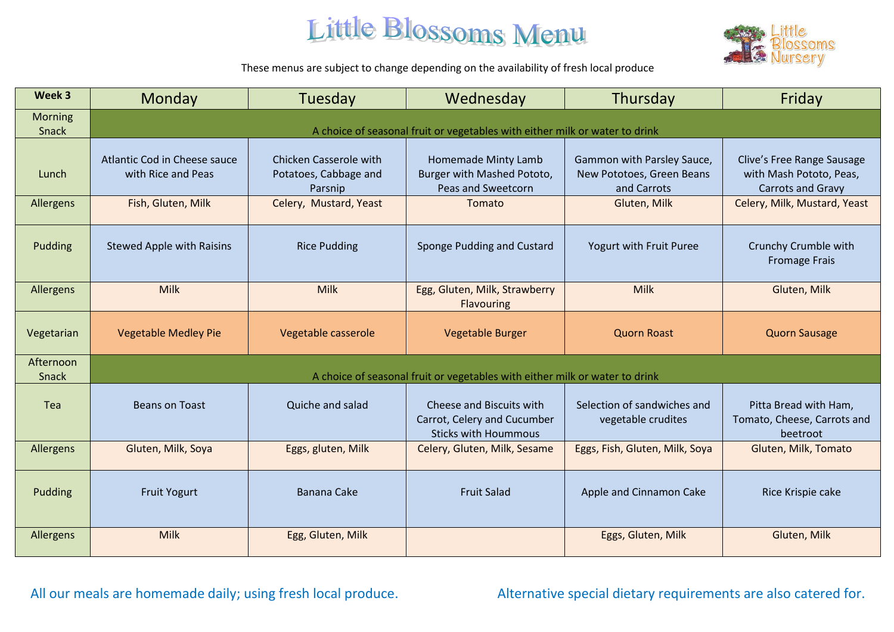

These menus are subject to change depending on the availability of fresh local produce

| Week 3                  | Monday                                                                      | Tuesday                                                           | Wednesday                                                                              | Thursday                                                               | Friday                                                                            |
|-------------------------|-----------------------------------------------------------------------------|-------------------------------------------------------------------|----------------------------------------------------------------------------------------|------------------------------------------------------------------------|-----------------------------------------------------------------------------------|
| <b>Morning</b><br>Snack | A choice of seasonal fruit or vegetables with either milk or water to drink |                                                                   |                                                                                        |                                                                        |                                                                                   |
| Lunch                   | Atlantic Cod in Cheese sauce<br>with Rice and Peas                          | <b>Chicken Casserole with</b><br>Potatoes, Cabbage and<br>Parsnip | Homemade Minty Lamb<br>Burger with Mashed Pototo,<br>Peas and Sweetcorn                | Gammon with Parsley Sauce,<br>New Pototoes, Green Beans<br>and Carrots | Clive's Free Range Sausage<br>with Mash Pototo, Peas,<br><b>Carrots and Gravy</b> |
| Allergens               | Fish, Gluten, Milk                                                          | Celery, Mustard, Yeast                                            | Tomato                                                                                 | Gluten, Milk                                                           | Celery, Milk, Mustard, Yeast                                                      |
| Pudding                 | <b>Stewed Apple with Raisins</b>                                            | <b>Rice Pudding</b>                                               | Sponge Pudding and Custard                                                             | Yogurt with Fruit Puree                                                | Crunchy Crumble with<br><b>Fromage Frais</b>                                      |
| Allergens               | <b>Milk</b>                                                                 | Milk                                                              | Egg, Gluten, Milk, Strawberry<br><b>Flavouring</b>                                     | Milk                                                                   | Gluten, Milk                                                                      |
| Vegetarian              | <b>Vegetable Medley Pie</b>                                                 | Vegetable casserole                                               | Vegetable Burger                                                                       | <b>Quorn Roast</b>                                                     | <b>Quorn Sausage</b>                                                              |
| Afternoon<br>Snack      | A choice of seasonal fruit or vegetables with either milk or water to drink |                                                                   |                                                                                        |                                                                        |                                                                                   |
| Tea                     | <b>Beans on Toast</b>                                                       | Quiche and salad                                                  | Cheese and Biscuits with<br>Carrot, Celery and Cucumber<br><b>Sticks with Hoummous</b> | Selection of sandwiches and<br>vegetable crudites                      | Pitta Bread with Ham,<br>Tomato, Cheese, Carrots and<br>beetroot                  |
| Allergens               | Gluten, Milk, Soya                                                          | Eggs, gluten, Milk                                                | Celery, Gluten, Milk, Sesame                                                           | Eggs, Fish, Gluten, Milk, Soya                                         | Gluten, Milk, Tomato                                                              |
| Pudding                 | <b>Fruit Yogurt</b>                                                         | <b>Banana Cake</b>                                                | <b>Fruit Salad</b>                                                                     | Apple and Cinnamon Cake                                                | Rice Krispie cake                                                                 |
| Allergens               | <b>Milk</b>                                                                 | Egg, Gluten, Milk                                                 |                                                                                        | Eggs, Gluten, Milk                                                     | Gluten, Milk                                                                      |

All our meals are homemade daily; using fresh local produce. Alternative special dietary requirements are also catered for.